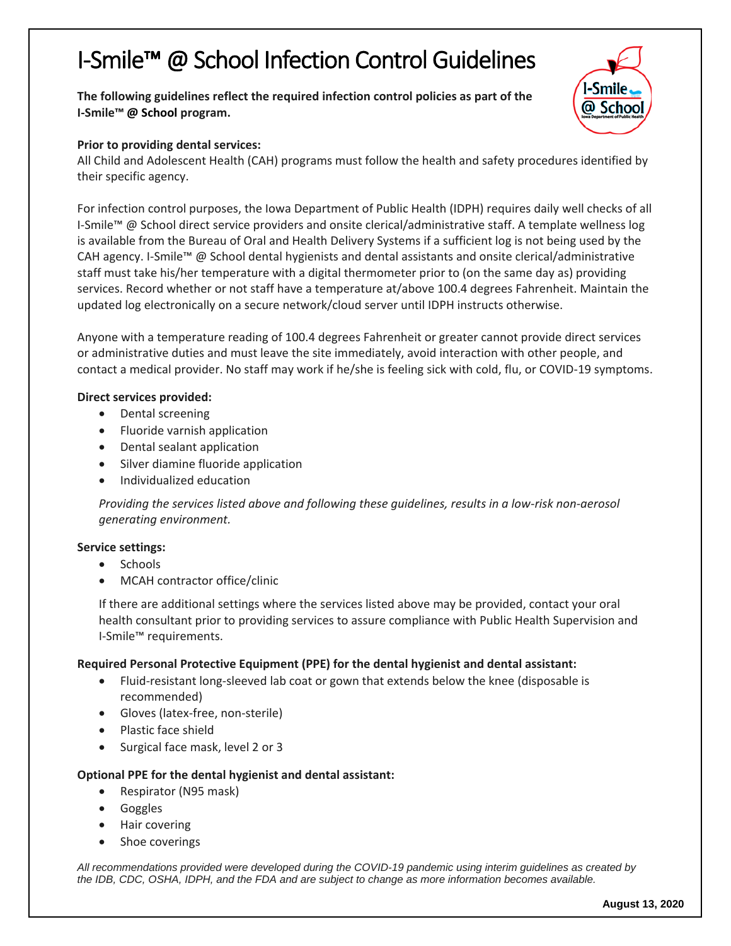# I-Smile™ @ School Infection Control Guidelines

**The following guidelines reflect the required infection control policies as part of the I-Smile™ @ School program.**



## **Prior to providing dental services:**

All Child and Adolescent Health (CAH) programs must follow the health and safety procedures identified by their specific agency.

For infection control purposes, the Iowa Department of Public Health (IDPH) requires daily well checks of all I-Smile™ @ School direct service providers and onsite clerical/administrative staff. A template wellness log is available from the Bureau of Oral and Health Delivery Systems if a sufficient log is not being used by the CAH agency. I-Smile™ @ School dental hygienists and dental assistants and onsite clerical/administrative staff must take his/her temperature with a digital thermometer prior to (on the same day as) providing services. Record whether or not staff have a temperature at/above 100.4 degrees Fahrenheit. Maintain the updated log electronically on a secure network/cloud server until IDPH instructs otherwise.

Anyone with a temperature reading of 100.4 degrees Fahrenheit or greater cannot provide direct services or administrative duties and must leave the site immediately, avoid interaction with other people, and contact a medical provider. No staff may work if he/she is feeling sick with cold, flu, or COVID-19 symptoms.

### **Direct services provided:**

- Dental screening
- Fluoride varnish application
- Dental sealant application
- Silver diamine fluoride application
- Individualized education

*Providing the services listed above and following these guidelines, results in a low-risk non-aerosol generating environment.* 

#### **Service settings:**

- Schools
- MCAH contractor office/clinic

If there are additional settings where the services listed above may be provided, contact your oral health consultant prior to providing services to assure compliance with Public Health Supervision and I-Smile™ requirements.

#### **Required Personal Protective Equipment (PPE) for the dental hygienist and dental assistant:**

- Fluid-resistant long-sleeved lab coat or gown that extends below the knee (disposable is recommended)
- Gloves (latex-free, non-sterile)
- Plastic face shield
- Surgical face mask, level 2 or 3

#### **Optional PPE for the dental hygienist and dental assistant:**

- Respirator (N95 mask)
- Goggles
- Hair covering
- Shoe coverings

*All recommendations provided were developed during the COVID-19 pandemic using interim guidelines as created by the IDB, CDC, OSHA, IDPH, and the FDA and are subject to change as more information becomes available.*